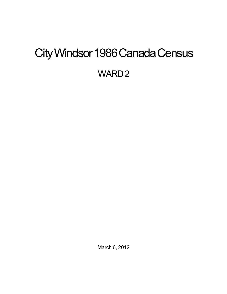# <span id="page-0-0"></span>City Windsor 1986 Canada Census

WARD<sub>2</sub>

March 6, 2012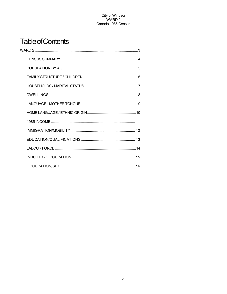## **Table of Contents**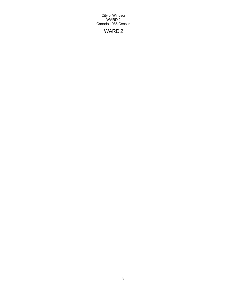## WARD 2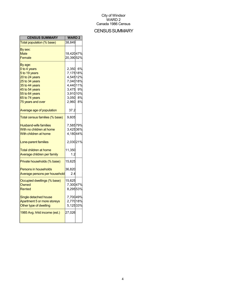## CENSUS SUMMARY

| <b>CENSUS SUMMARY</b>          | <b>WARD2</b>         |  |
|--------------------------------|----------------------|--|
| Total population (% base)      | 38,849               |  |
| By sex:                        |                      |  |
| Male                           | 18,42047%            |  |
| Female                         | 20,39052%            |  |
| By age:                        |                      |  |
| 0 to 4 years                   | 2,350 6%             |  |
| 5 to 19 years                  | 7,17518%             |  |
| 20 to 24 years                 | 4,54512%             |  |
| 25 to 34 years                 | 7,04018%             |  |
| 35 to 44 years                 | 4,44011%             |  |
| 45 to 54 years                 | 3,475 9%<br>3,91010% |  |
| 55 to 64 years                 |                      |  |
| 65 to 74 years                 | 3,050 8%             |  |
| 75 years and over              | 2,960 8%             |  |
| Average age of population      | 37.2                 |  |
| Total census families (% base) | 9,605                |  |
| <b>Husband-wife families</b>   | 7,58579%             |  |
| With no children at home       | 3,42536%             |  |
| With children at home          | 4,18044%             |  |
| Lone-parent families           | 2,03021%             |  |
| <b>Total children at home</b>  | 11,350               |  |
| Average children per family    | 1.2                  |  |
| Private households (% base)    | 15,625               |  |
| <b>Persons in households</b>   | 36,820               |  |
| Average persons per household  | 2.4                  |  |
| Occupied dwellings (% base)    | 15,625               |  |
| Owned                          | 7,30047%             |  |
| <b>Rented</b>                  | 8,29553%             |  |
| Single detached house          | 7,70049%             |  |
| Apartment 5 or more storeys    | 2,77018%             |  |
| Other type of dwelling         | 5,12533%             |  |
| 1985 Avg. hhld income (est.)   | 27,026               |  |
|                                |                      |  |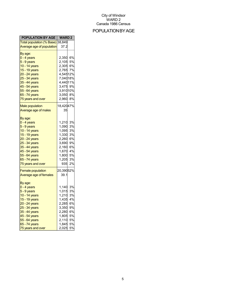## POPULATIONBYAGE

| <b>POPULATION BY AGE   WARD 2</b>              |           |    |
|------------------------------------------------|-----------|----|
| Total population ( <mark>% Base)</mark> 38,849 |           |    |
| Average age of population                      | 37.2      |    |
| By age:                                        |           |    |
| <mark>0 - 4 years</mark>                       | 2,350 6%  |    |
| 5 - 9 years                                    | 2,105     | 5% |
| 10 - 14 years                                  | 2,305 6%  |    |
| 15 - 19 years                                  | 2,765 7%  |    |
| 20 - 24 years                                  | 4,54512%  |    |
| 25 - 34 years                                  | 7,04018%  |    |
|                                                | 4,44011%  |    |
| 35 - 44 years                                  |           |    |
| 45 - 54 years                                  | 3,475 9%  |    |
| 55 - 64 years                                  | 3,91010%  |    |
| 65 - 74 years                                  | 3,050 8%  |    |
| 75 years and over                              | 2,960     | 8% |
| <b>Male population</b>                         | 18,42047% |    |
| Average age of males                           | 35        |    |
|                                                |           |    |
| By age:                                        |           |    |
| <mark>0 - 4 years</mark>                       | 1,210     | 3% |
| 5 - 9 years                                    | 1,090     | 3% |
| 10 - 14 years                                  | 1,095     | 3% |
| 15 - 19 years                                  | 1,330     | 3% |
| 20 - 24 years                                  | 2,260     | 6% |
| 25 - 34 years                                  | 3,690     | 9% |
| 35 - 44 years                                  | 2,160     | 6% |
| 45 - 54 years                                  | 1,670     | 4% |
| 55 - 64 years                                  | 1,800     | 5% |
| 65 - 74 years                                  | 1,205     | 3% |
| 75 years and over                              | 935       | 2% |
|                                                |           |    |
| <b>Female population</b>                       | 20,39052% |    |
| Average age of females                         | 39.1      |    |
| By age:                                        |           |    |
| 0 - 4 years                                    | 1,140     | 3% |
| 5 - 9 years                                    | 1,015     | 3% |
|                                                | 1,210     | 3% |
| 10 - 14 years                                  |           |    |
| 15 - 19 years                                  | 1,435     | 4% |
| 20 - 24 years                                  | 2,285     | 6% |
| 25 - 34 years                                  | 3,350     | 9% |
| 35 - 44 years                                  | 2,280     | 6% |
| 45 - 54 years                                  | 1,805     | 5% |
| 55 - 64 years                                  | 2,110     | 5% |
| 65 - 74 years                                  | 1,845 5%  |    |
| 75 years and over                              | 2,025     | 5% |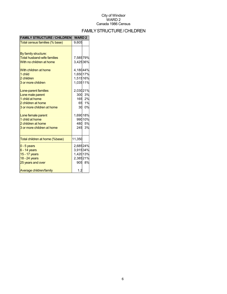## FAMILYSTRUCTURE/CHILDREN

| <b>FAMILY STRUCTURE / CHILDREN</b> | <b>WARD2</b> |        |
|------------------------------------|--------------|--------|
| Total census families (% base)     | 9,605        |        |
|                                    |              |        |
| By family structure:               |              |        |
| <b>Total husband-wife families</b> | 7,58579%     |        |
| With no children at home           | 3,42536%     |        |
| With children at home              | 4,18044%     |        |
| 1 child                            | 1,65017%     |        |
| 2 children                         | 1,51516%     |        |
| 3 or more children                 | 1,03511%     |        |
| Lone-parent families               | 2,03021%     |        |
| Lone male parent                   |              | 300 3% |
| 1 child at home                    |              | 165 2% |
| 2 children at home                 |              | 65 1%  |
| 3 or more children at home         |              | 30 0%  |
| Lone female parent                 | 1,69018%     |        |
| 1 child at home                    |              | 99010% |
| 2 children at home                 |              | 480 5% |
| 3 or more children at home         |              | 245 3% |
| Total children at home (%base)     | 11,350       |        |
| $0 - 5$ years                      | 2,68524%     |        |
| $6 - 14$ years                     | 3,91534%     |        |
| 15 - 17 years                      | 1,42013%     |        |
| 18 - 24 years                      | 2,38521%     |        |
| 25 years and over                  |              | 905 8% |
| Average children/family            | 1.2          |        |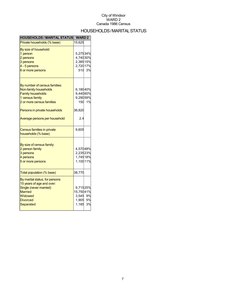## HOUSEHOLDS/MARITALSTATUS

| <b>HOUSEHOLDS / MARITAL STATUS</b>                | <b>WARD2</b> |        |
|---------------------------------------------------|--------------|--------|
| Private households (% base)                       | 15,625       |        |
| By size of household:                             |              |        |
| 1 person                                          | 5,27534%     |        |
| 2 persons                                         | 4,74030%     |        |
| 3 persons                                         | 2,38515%     |        |
| 4 - 5 persons                                     | 2,72017%     |        |
| 6 or more persons                                 |              | 510 3% |
| By number of census families:                     |              |        |
| Non-family households                             | 6,18040%     |        |
| <b>Family households</b>                          | 9,44060%     |        |
| 1 census family                                   | 9,29059%     |        |
| 2 or more census families                         |              | 150 1% |
| Persons in private households                     | 36,820       |        |
| Average persons per household                     | 2.4          |        |
| Census families in private<br>households (% base) | 9,605        |        |
|                                                   |              |        |
| By size of census family:                         |              |        |
| 2 person family                                   | 4,57048%     |        |
| 3 persons                                         | 2,23523%     |        |
| 4 persons                                         | 1,74518%     |        |
| 5 or more persons                                 | 1,10011%     |        |
| Total population (% base)                         | 38,770       |        |
| By marital status, for persons                    |              |        |
| 15 years of age and over:                         |              |        |
| Single (never married)                            | 9,71525%     |        |
| <b>Married</b>                                    | 15,75041%    |        |
| Widowed                                           | 3,545 9%     |        |
| <b>Divorced</b>                                   | 1,905 5%     |        |
| Separated                                         | 1,185        | 3%     |
|                                                   |              |        |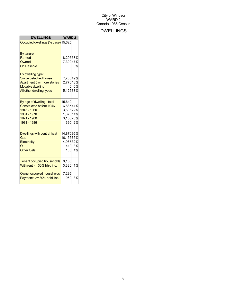## DWELLINGS

| <b>DWELLINGS</b>                                                                                                                                                                              | <b>WARD2</b>                                                   |              |
|-----------------------------------------------------------------------------------------------------------------------------------------------------------------------------------------------|----------------------------------------------------------------|--------------|
| Occupied dwellings (% base) 15,625                                                                                                                                                            |                                                                |              |
| By tenure:<br><b>Rented</b><br>Owned<br><b>On Reserve</b><br>By dwelling type:<br>Single detached house<br>Apartment 5 or more stories<br><b>Movable dwelling</b><br>All other dwelling types | 8,29553%<br>7,30047%<br>O.<br>7,70049%<br>2,77018%<br>5,12533% | 0%<br>0%     |
| By age of dwelling - total<br><b>Constructed before 1946</b><br>1946 - 1960<br>1961 - 1970<br>1971 - 1980<br>1981 - 1986                                                                      | 15,640<br>6,88544%<br>3,50522%<br>1,67011%<br>3,15520%         | 390 2%       |
| Dwellings with central heat<br>Gas<br>Electricity<br>Oil<br><b>Other fuels</b>                                                                                                                | 14,87095%<br>10,15565%<br>4,96532%<br>105                      | 440 3%<br>1% |
| <b>Tenant occupied households</b><br>With rent >= 30% hhld inc.<br>Owner occupied households<br>Payments >= 30% hhld. inc.                                                                    | 8,155<br>3,38041%<br>7,295                                     | 96013%       |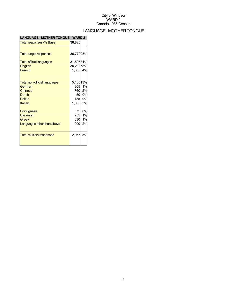## LANGUAGE-MOTHERTONGUE

| <b>LANGUAGE - MOTHER TONGUE</b> | <b>WARD 2</b> |        |
|---------------------------------|---------------|--------|
| Total responses (% Base)        | 38,825        |        |
|                                 |               |        |
| <b>Total single responses</b>   | 36,77095%     |        |
| <b>Total official languages</b> | 31,59581%     |        |
| <b>English</b>                  | 30,21078%     |        |
| French                          | 1,385 4%      |        |
|                                 |               |        |
| Total non-official languages    | 5,10513%      |        |
| German                          |               | 305 1% |
| Chinese                         |               | 760 2% |
| <b>Dutch</b>                    |               | 50 0%  |
| <b>Polish</b>                   |               | 185 0% |
| Italian                         | 1,065 3%      |        |
| Portuguese                      | 75            | 0%     |
| <b>Ukrainian</b>                |               | 255 1% |
| <b>Greek</b>                    | 330           | 1%     |
| Languages other than above      | 900           | 2%     |
|                                 |               |        |
| <b>Total multiple responses</b> | 2,055         | 5%     |
|                                 |               |        |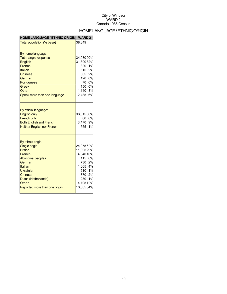## HOME LANGUAGE / ETHNIC ORIGIN

| <b>HOME LANGUAGE / ETHNIC ORIGIN</b>                                                                                                                                                                      | <b>WARD2</b>                                                                   |                                                  |
|-----------------------------------------------------------------------------------------------------------------------------------------------------------------------------------------------------------|--------------------------------------------------------------------------------|--------------------------------------------------|
| Total population (% base)                                                                                                                                                                                 | 38,849                                                                         |                                                  |
| By home language:<br><b>Total single response</b><br><b>English</b><br>French<br>Italian<br>Chinese<br>German<br>Portuguese<br><b>Greek</b><br>Other<br>Speak more than one language                      | 34,93090%<br>31,80082%<br>320<br>615<br>120<br>70<br>150<br>1,140<br>2,485     | 1%<br>2%<br>665 2%<br>0%<br>0%<br>0%<br>3%<br>6% |
| By official language:<br><b>English only</b><br><b>French only</b><br><b>Both English and French</b><br><b>Neither English nor French</b>                                                                 | 33,31586%<br>60<br>3,470<br>555                                                | 0%<br>9%<br>1%                                   |
| By ethnic origin:<br>Single origin<br><b>British</b><br>French<br><b>Aboriginal peoples</b><br>German<br>Italian<br>Ukrainian<br>Chinese<br>Dutch (Netherlands)<br>Other<br>Reported more than one origin | 24,07562%<br>11,09529%<br>4,04010%<br>730<br>1,665 4%<br>4,79512%<br>13,30534% | 115 0%<br>2%<br>510 1%<br>870 2%<br>230 1%       |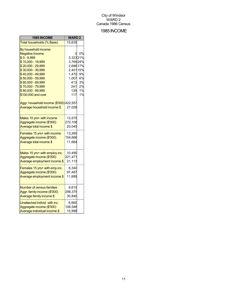## 1985INCOME

| 1985 INCOME                             | <b>WARD2</b> |    |
|-----------------------------------------|--------------|----|
| Total households (% Base)               | 15,635       |    |
| By household income:                    |              |    |
| <b>Negative Income</b>                  | 0            | 0% |
| $$0 - 9,999$                            | 3,32321%     |    |
| \$10,000 - 19,999                       | 3,76924%     |    |
| \$20,000 - 29,999                       | 2,68617%     |    |
| \$30,000 - 39,999                       | 2,401 15%    |    |
| \$40,000 - 49,999                       | 1,470        | 9% |
| \$50,000 - 59,999                       | 1,007        | 6% |
| \$60,000 - 69,999                       | 413          | 3% |
| \$70,000 - 79,999                       | 241          | 2% |
| \$80,000 - 99,999                       | 139          | 1% |
| \$100,000 and over                      | 117          | 1% |
| Aggr. household income (\$'000) 422,557 |              |    |
| Average household income \$             | 27,026       |    |
|                                         |              |    |
| Males 15 yrs+ with income               | 13,575       |    |
| Aggregate income (\$'000)               | 272,108      |    |
| Average total income \$                 | 20,045       |    |
| Females 15 yrs+ with income             | 13,260       |    |
| Aggregate income (\$'000)               | 154,666      |    |
| Average total income \$                 | 11,664       |    |
| Males 15 yrs+ with employ.inc           | 10,490       |    |
| Aggregate income (\$'000)               | 221,471      |    |
| Average employment income \$            | 21,113       |    |
|                                         |              |    |
| Females 15 yrs+ with emp.inc.           | 8,340        |    |
| Aggregate income (\$'000)               | 97,487       |    |
| Average employment income \$            | 11,689       |    |
| <b>Number of census families</b>        | 9,610        |    |
| Aggr. family income (\$'000)            | 296,375      |    |
| Average family income \$                | 30,840       |    |
| Unattached individ. with inc.           | 6,660        |    |
| Aggregate income (\$'000)               | 106,546      |    |
| Average individual income \$            | 15,998       |    |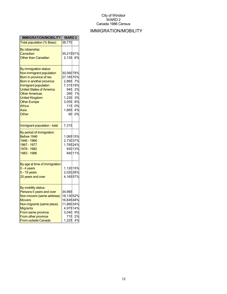## IMMIGRATION/MOBILITY

| <b>IMMIGRATION/MOBILITY</b>                                                                                                                                                                                                                                                      | <b>WARD2</b>                                                                                      |                                              |
|----------------------------------------------------------------------------------------------------------------------------------------------------------------------------------------------------------------------------------------------------------------------------------|---------------------------------------------------------------------------------------------------|----------------------------------------------|
| Total population (% Base)                                                                                                                                                                                                                                                        | 38,770                                                                                            |                                              |
| By citizenship:<br>Canadian<br><b>Other than Canadian</b>                                                                                                                                                                                                                        | 35,21591%<br>2,135                                                                                | 6%                                           |
| By immigration status:<br>Non-immigrant population<br>Born in province of res.<br>Born in another province<br>Immigrant population<br><b>United States of America</b><br><b>Other Americas</b><br><b>United Kingdom</b><br><b>Other Europe</b><br><b>Africa</b><br>Asia<br>Other | 30,06078%<br>27,16570%<br>2,865<br>7,31519%<br>945<br>290<br>1,230<br>3,055<br>115<br>1,665<br>60 | 7%<br>2%<br>1%<br>3%<br>8%<br>0%<br>4%<br>0% |
| Immigrant population - total                                                                                                                                                                                                                                                     | 7,315                                                                                             |                                              |
| By period of immigration:<br>Before 1946<br>1946 - 1966<br>1967 - 1977<br>1978 - 1982<br>1983 - 1986                                                                                                                                                                             | 1,06515%<br>2,73037%<br>1,78524%                                                                  | 93013%<br>84011%                             |
| By age at time of immigration:<br>0 - 4 years<br>5 - 19 years<br>20 years and over                                                                                                                                                                                               | 1,12015%<br>2,02028%<br>4,16557%                                                                  |                                              |
| By mobility status:<br>Persons 5 years and over<br>Non-movers (same address)<br><b>Movers</b><br>Non-migrants (same place)<br><b>Migrants</b><br>From same province<br>From other province<br>From outside Canada                                                                | 34,965<br>18,13052%<br>16,84548%<br>11,86034%<br>4,97514%<br>3,040 9%<br>715<br>1,225             | 2%<br>4%                                     |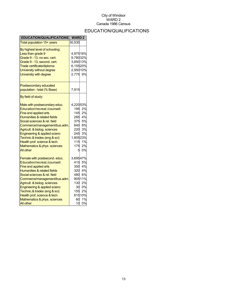## EDUCATION/QUALIFICATIONS

| <b>EDUCATION/QUALIFICATIONS</b>                                                                                                                                                                                                                                                                                                                                           | <b>WARD2</b>                                                               |                                                                             |
|---------------------------------------------------------------------------------------------------------------------------------------------------------------------------------------------------------------------------------------------------------------------------------------------------------------------------------------------------------------------------|----------------------------------------------------------------------------|-----------------------------------------------------------------------------|
| Total population 15+ years                                                                                                                                                                                                                                                                                                                                                | 30,530                                                                     |                                                                             |
| By highest level of schooling:<br>Less than grade 9<br>Grade 9 - 13, no sec. cert.<br>Grade 9 - 13, second. cert.<br>Trade certificate/diploma<br>University without degree<br>University with degree                                                                                                                                                                     | 4,97516%<br>9,78032%<br>3,85013%<br>6,15520%<br>2,95010%<br>2,775          | 9%                                                                          |
| Postsecondary educated<br>population - total (% Base)                                                                                                                                                                                                                                                                                                                     | 7,915                                                                      |                                                                             |
| By field of study:                                                                                                                                                                                                                                                                                                                                                        |                                                                            |                                                                             |
| Male with postsecondary educ.<br>Education/recreat./counsell.<br>Fine and applied arts<br>Humanities & related fields<br>Social sciences & rel. field<br>Commerce/management/bus.adm.<br>Agricult. & biolog. sciences<br>Engineering & applied scienc<br>Technic.& trades (eng & sci)<br>Health prof. science & tech.<br>Mathematics & phys. sciences<br><b>All other</b> | 4,22053%<br>195<br>145<br>285<br>245<br>1,80523%<br>115<br>175<br>5        | 2%<br>2%<br>4%<br>---<br>375 5%<br>640 8%<br>220 3%<br>3%<br>1%<br>2%<br>0% |
| Female with postsecond. educ.<br>Education/recreat./counsell.<br>Fine and applied arts<br>Humanities & related fields<br>Social sciences & rel. field<br>Commerce/management/bus.adm.<br>Agricult. & biolog. sciences<br>Engineering & applied scienc<br>Technic.& trades (eng & sci)<br>Health prof. science & tech.<br>Mathematics & phys. sciences<br>All other        | 3,69547%<br>415<br>350<br>480<br>130<br>30 <sup>°</sup><br>155<br>60<br>10 | 5%<br>4%<br>320 4%<br>6%<br>90511%<br>2%<br>0%<br>2%<br>81510%<br>1%<br>0%  |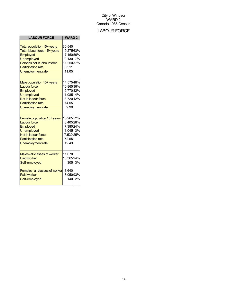## **LABOUR FORCE**

| <b>LABOUR FORCE</b>                                                                                                                                                                 | <b>WARD2</b>                                                                 |              |
|-------------------------------------------------------------------------------------------------------------------------------------------------------------------------------------|------------------------------------------------------------------------------|--------------|
| Total population 15+ years<br>Total labour force 15+ years<br>Employed<br><b>Unemployed</b><br>Persons not in labour force<br><b>Participation rate</b><br><b>Unemployment rate</b> | 30,540<br>19,27563%<br>17,15056%<br>2,130 7%<br>11,25037%<br>63.11<br>11.05  |              |
| Male population 15+ years<br><b>Labour force</b><br>Employed<br><b>Unemployed</b><br>Not in labour force<br><b>Participation rate</b><br>Unemployment rate                          | 14,57548%<br>10,86536%<br>9,77032%<br>1,085 4%<br>3,720 12%<br>74.55<br>9.99 |              |
| Female population 15+ years<br><b>Labour force</b><br>Employed<br><b>Unemployed</b><br>Not in labour force<br><b>Participation rate</b><br><b>Unemployment rate</b>                 | 15,96552%<br>8,40528%<br>7,38024%<br>1,045 3%<br>7,530 25%<br>52.65<br>12.43 |              |
| Males- all classes of worker<br><b>Paid worker</b><br>Self-employed<br>Females- all classes of worker<br><b>Paid worker</b><br>Self-employed                                        | 11,070<br>10,36594%<br>8,640<br>8,05093%<br>140                              | 305 3%<br>2% |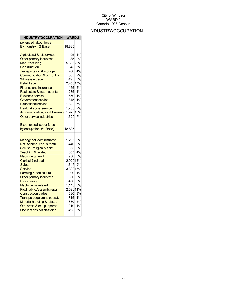## INDUSTRY/OCCUPATION

| <b>INDUSTRY/OCCUPATION</b>             | <b>WARD2</b> |                        |
|----------------------------------------|--------------|------------------------|
| perienced labour force                 |              |                        |
| By Industry: (% Base)                  | 18,835       |                        |
| <b>Agricultural &amp; rel.services</b> | 95           | 1%                     |
| Other primary industries               | 85           | 0%                     |
| <b>Manufacturing</b>                   | 5,30528%     |                        |
| <b>Construction</b>                    | 645          | 3%                     |
| <b>Transportation &amp; storage</b>    |              | 700 4%                 |
| Communication & oth. utility           | 365          | 2%                     |
| <b>Wholesale trade</b>                 | 495          | 3%                     |
| <b>Retail trade</b>                    | 2,45013%     |                        |
| Finance and insurance                  | 455          | 2%                     |
| Real estate & insur. agents            |              | 1%                     |
| <u>Business service</u>                | 235<br>750   | 4%                     |
| Government service                     |              | 845 4%                 |
| <b>Educational service</b>             | 1,320        | 7%                     |
| <b>Health &amp; social service</b>     | 1,780        | 9%                     |
| Accommodation, food, beverag           | 1,97010%     |                        |
| Other service industries               | 1,320        | 7%                     |
|                                        |              |                        |
| <b>Experienced labour force</b>        |              |                        |
| by occupation: (% Base)                | 18,835       |                        |
|                                        |              |                        |
| Managerial, administrative             | 1,205        | 6%                     |
| Nat. science, eng. & math.             | 440          | 2%                     |
| Soc. sc., religion & artist.           | 855          | 5%                     |
| <b>Teaching &amp; related</b>          | 685          | 4%                     |
| <b>Medicine &amp; health</b>           | 950          | 5%                     |
| <b>Clerical &amp; related</b>          | 2,92016%     |                        |
| Sales                                  | 1,615        | 9%                     |
| <b>Service</b>                         | 3,39018%     |                        |
| Farming & horticultural                | 200          | 1%                     |
| Other primary industries               | 30           | 0%                     |
| Processing                             | 460          | 2%                     |
| Machining & related                    | 1,115        | 6%                     |
| Prod. fabric./assemb./repair           | 2,69014%     |                        |
| <b>Construction trades</b>             | 580          | 3%                     |
| Transport equipmnt. operat.            |              | 715 4%                 |
| Material handling & related            |              | 2%<br>330 2%<br>210 1% |
| Oth. crafts & equip. operat.           |              |                        |
| Occupations not classified             | 495          | 3%                     |
|                                        |              |                        |